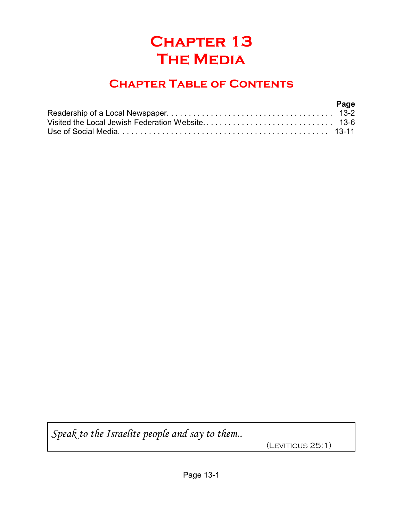# **Chapter 13 The Media**

## **Chapter Table of Contents**

| Page |
|------|
|      |
|      |
|      |

*Speak to the Israelite people and say to them..*

(LEVITICUS 25:1)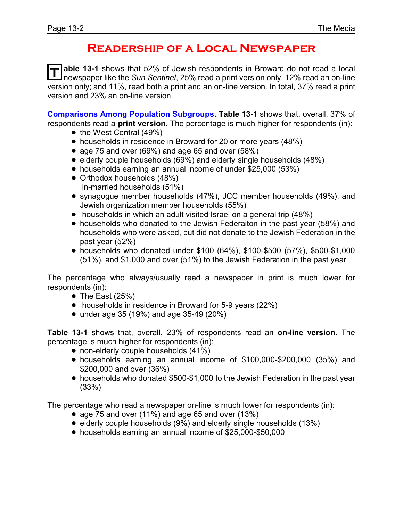#### **Readership of a Local Newspaper**

T able 13-1 shows that 52% of Jewish respondents in Broward do not read a local<br>I newspaper like the *Sun Sentinel*, 25% read a print version only, 12% read an on-line **able 13-1** shows that 52% of Jewish respondents in Broward do not read a local version only; and 11%, read both a print and an on-line version. In total, 37% read a print version and 23% an on-line version.

**Comparisons Among Population Subgroups. Table 13-1** shows that, overall, 37% of respondents read a **print version**. The percentage is much higher for respondents (in):

- the West Central (49%)
- households in residence in Broward for 20 or more years (48%)
- age 75 and over (69%) and age 65 and over (58%)
- elderly couple households (69%) and elderly single households (48%)
- households earning an annual income of under \$25,000 (53%)
- Orthodox households (48%) in-married households (51%)
- ! synagogue member households (47%), JCC member households (49%), and Jewish organization member households (55%)
- households in which an adult visited Israel on a general trip (48%)
- ! households who donated to the Jewish Federaiton in the past year (58%) and households who were asked, but did not donate to the Jewish Federation in the past year (52%)
- ! households who donated under \$100 (64%), \$100-\$500 (57%), \$500-\$1,000 (51%), and \$1.000 and over (51%) to the Jewish Federation in the past year

The percentage who always/usually read a newspaper in print is much lower for respondents (in):

- $\bullet$  The East (25%)
- households in residence in Broward for 5-9 years (22%)
- $\bullet$  under age 35 (19%) and age 35-49 (20%)

**Table 13-1** shows that, overall, 23% of respondents read an **on-line version**. The percentage is much higher for respondents (in):

- non-elderly couple households (41%)
- ! households earning an annual income of \$100,000-\$200,000 (35%) and \$200,000 and over (36%)
- households who donated \$500-\$1,000 to the Jewish Federation in the past year (33%)

The percentage who read a newspaper on-line is much lower for respondents (in):

- $\bullet$  age 75 and over (11%) and age 65 and over (13%)
- elderly couple households (9%) and elderly single households (13%)
- ! households earning an annual income of \$25,000-\$50,000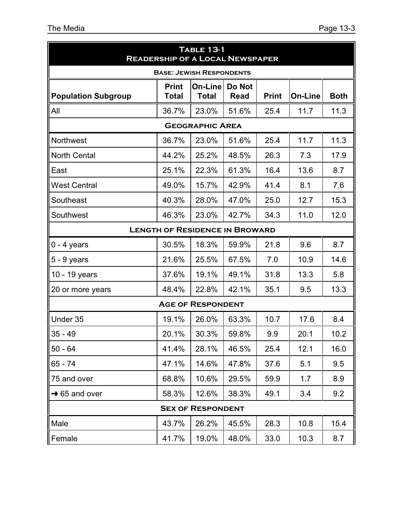| <b>TABLE 13-1</b><br><b>READERSHIP OF A LOCAL NEWSPAPER</b> |                       |                                       |                       |              |                |             |
|-------------------------------------------------------------|-----------------------|---------------------------------------|-----------------------|--------------|----------------|-------------|
|                                                             |                       | <b>BASE: JEWISH RESPONDENTS</b>       |                       |              |                |             |
| <b>Population Subgroup</b>                                  | <b>Print</b><br>Total | On-Line<br><b>Total</b>               | Do Not<br><b>Read</b> | <b>Print</b> | <b>On-Line</b> | <b>Both</b> |
| All                                                         | 36.7%                 | 23.0%                                 | 51.6%                 | 25.4         | 11.7           | 11.3        |
|                                                             |                       | <b>GEOGRAPHIC AREA</b>                |                       |              |                |             |
| Northwest                                                   | 36.7%                 | 23.0%                                 | 51.6%                 | 25.4         | 11.7           | 11.3        |
| <b>North Cental</b>                                         | 44.2%                 | 25.2%                                 | 48.5%                 | 26.3         | 7.3            | 17.9        |
| East                                                        | 25.1%                 | 22.3%                                 | 61.3%                 | 16.4         | 13.6           | 8.7         |
| <b>West Central</b>                                         | 49.0%                 | 15.7%                                 | 42.9%                 | 41.4         | 8.1            | 7.6         |
| Southeast                                                   | 40.3%                 | 28.0%                                 | 47.0%                 | 25.0         | 12.7           | 15.3        |
| Southwest                                                   | 46.3%                 | 23.0%                                 | 42.7%                 | 34.3         | 11.0           | 12.0        |
|                                                             |                       | <b>LENGTH OF RESIDENCE IN BROWARD</b> |                       |              |                |             |
| $0 - 4$ years                                               | 30.5%                 | 18.3%                                 | 59.9%                 | 21.8         | 9.6            | 8.7         |
| $5 - 9$ years                                               | 21.6%                 | 25.5%                                 | 67.5%                 | 7.0          | 10.9           | 14.6        |
| 10 - 19 years                                               | 37.6%                 | 19.1%                                 | 49.1%                 | 31.8         | 13.3           | 5.8         |
| 20 or more years                                            | 48.4%                 | 22.8%                                 | 42.1%                 | 35.1         | 9.5            | 13.3        |
|                                                             |                       | <b>AGE OF RESPONDENT</b>              |                       |              |                |             |
| Under 35                                                    | 19.1%                 | 26.0%                                 | 63.3%                 | 10.7         | 17.6           | 8.4         |
| $35 - 49$                                                   | 20.1%                 | 30.3%                                 | 59.8%                 | 9.9          | 20.1           | 10.2        |
| $50 - 64$                                                   | 41.4%                 | 28.1%                                 | 46.5%                 | 25.4         | 12.1           | 16.0        |
| $65 - 74$                                                   | 47.1%                 | 14.6%                                 | 47.8%                 | 37.6         | 5.1            | 9.5         |
| 75 and over                                                 | 68.8%                 | 10.6%                                 | 29.5%                 | 59.9         | 1.7            | 8.9         |
| $\rightarrow$ 65 and over                                   | 58.3%                 | 12.6%                                 | 38.3%                 | 49.1         | 3.4            | 9.2         |
| <b>SEX OF RESPONDENT</b>                                    |                       |                                       |                       |              |                |             |
| Male                                                        | 43.7%                 | 26.2%                                 | 45.5%                 | 28.3         | 10.8           | 15.4        |
| Female                                                      | 41.7%                 | 19.0%                                 | 48.0%                 | 33.0         | 10.3           | 8.7         |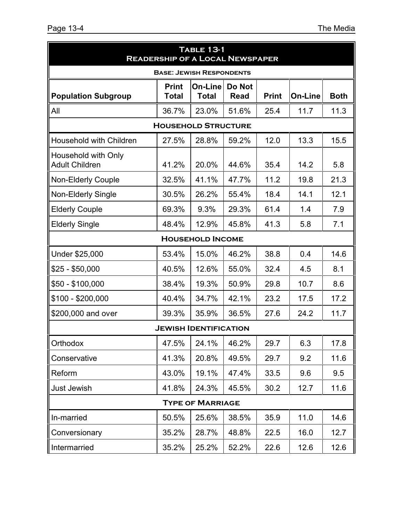| <b>TABLE 13-1</b><br><b>READERSHIP OF A LOCAL NEWSPAPER</b> |                              |                              |                       |              |                |             |  |
|-------------------------------------------------------------|------------------------------|------------------------------|-----------------------|--------------|----------------|-------------|--|
| <b>BASE: JEWISH RESPONDENTS</b>                             |                              |                              |                       |              |                |             |  |
| <b>Population Subgroup</b>                                  | <b>Print</b><br><b>Total</b> | On-Line<br><b>Total</b>      | Do Not<br><b>Read</b> | <b>Print</b> | <b>On-Line</b> | <b>Both</b> |  |
| All                                                         | 36.7%                        | 23.0%                        | 51.6%                 | 25.4         | 11.7           | 11.3        |  |
|                                                             |                              | <b>HOUSEHOLD STRUCTURE</b>   |                       |              |                |             |  |
| <b>Household with Children</b>                              | 27.5%                        | 28.8%                        | 59.2%                 | 12.0         | 13.3           | 15.5        |  |
| Household with Only<br><b>Adult Children</b>                | 41.2%                        | 20.0%                        | 44.6%                 | 35.4         | 14.2           | 5.8         |  |
| <b>Non-Elderly Couple</b>                                   | 32.5%                        | 41.1%                        | 47.7%                 | 11.2         | 19.8           | 21.3        |  |
| <b>Non-Elderly Single</b>                                   | 30.5%                        | 26.2%                        | 55.4%                 | 18.4         | 14.1           | 12.1        |  |
| <b>Elderly Couple</b>                                       | 69.3%                        | 9.3%                         | 29.3%                 | 61.4         | 1.4            | 7.9         |  |
| <b>Elderly Single</b>                                       | 48.4%                        | 12.9%                        | 45.8%                 | 41.3         | 5.8            | 7.1         |  |
|                                                             |                              | <b>HOUSEHOLD INCOME</b>      |                       |              |                |             |  |
| Under \$25,000                                              | 53.4%                        | 15.0%                        | 46.2%                 | 38.8         | 0.4            | 14.6        |  |
| $$25 - $50,000$                                             | 40.5%                        | 12.6%                        | 55.0%                 | 32.4         | 4.5            | 8.1         |  |
| $$50 - $100,000$                                            | 38.4%                        | 19.3%                        | 50.9%                 | 29.8         | 10.7           | 8.6         |  |
| $$100 - $200,000$                                           | 40.4%                        | 34.7%                        | 42.1%                 | 23.2         | 17.5           | 17.2        |  |
| \$200,000 and over                                          | 39.3%                        | 35.9%                        | 36.5%                 | 27.6         | 24.2           | 11.7        |  |
|                                                             |                              | <b>JEWISH IDENTIFICATION</b> |                       |              |                |             |  |
| Orthodox                                                    | 47.5%                        | 24.1%                        | 46.2%                 | 29.7         | 6.3            | 17.8        |  |
| Conservative                                                | 41.3%                        | 20.8%                        | 49.5%                 | 29.7         | 9.2            | 11.6        |  |
| Reform                                                      | 43.0%                        | 19.1%                        | 47.4%                 | 33.5         | 9.6            | 9.5         |  |
| Just Jewish                                                 | 41.8%                        | 24.3%                        | 45.5%                 | 30.2         | 12.7           | 11.6        |  |
| <b>TYPE OF MARRIAGE</b>                                     |                              |                              |                       |              |                |             |  |
| In-married                                                  | 50.5%                        | 25.6%                        | 38.5%                 | 35.9         | 11.0           | 14.6        |  |
| Conversionary                                               | 35.2%                        | 28.7%                        | 48.8%                 | 22.5         | 16.0           | 12.7        |  |
| Intermarried                                                | 35.2%                        | 25.2%                        | 52.2%                 | 22.6         | 12.6           | 12.6        |  |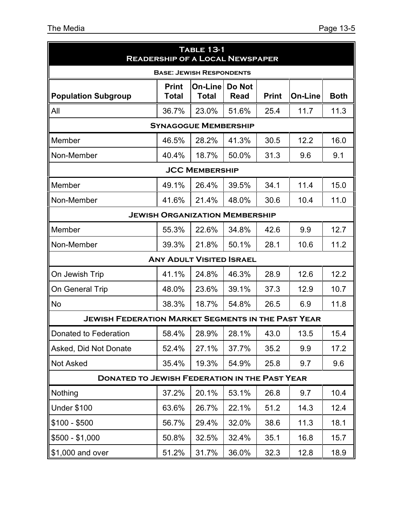| <b>TABLE 13-1</b><br><b>READERSHIP OF A LOCAL NEWSPAPER</b> |                                 |                                       |                       |              |                |             |  |  |
|-------------------------------------------------------------|---------------------------------|---------------------------------------|-----------------------|--------------|----------------|-------------|--|--|
|                                                             | <b>BASE: JEWISH RESPONDENTS</b> |                                       |                       |              |                |             |  |  |
| <b>Population Subgroup</b>                                  | <b>Print</b><br>Total           | On-Line<br><b>Total</b>               | Do Not<br><b>Read</b> | <b>Print</b> | <b>On-Line</b> | <b>Both</b> |  |  |
| All                                                         | 36.7%                           | 23.0%                                 | 51.6%                 | 25.4         | 11.7           | 11.3        |  |  |
|                                                             |                                 | <b>SYNAGOGUE MEMBERSHIP</b>           |                       |              |                |             |  |  |
| Member                                                      | 46.5%                           | 28.2%                                 | 41.3%                 | 30.5         | 12.2           | 16.0        |  |  |
| Non-Member                                                  | 40.4%                           | 18.7%                                 | 50.0%                 | 31.3         | 9.6            | 9.1         |  |  |
|                                                             |                                 | <b>JCC MEMBERSHIP</b>                 |                       |              |                |             |  |  |
| Member                                                      | 49.1%                           | 26.4%                                 | 39.5%                 | 34.1         | 11.4           | 15.0        |  |  |
| Non-Member                                                  | 41.6%                           | 21.4%                                 | 48.0%                 | 30.6         | 10.4           | 11.0        |  |  |
|                                                             |                                 | <b>JEWISH ORGANIZATION MEMBERSHIP</b> |                       |              |                |             |  |  |
| Member                                                      | 55.3%                           | 22.6%                                 | 34.8%                 | 42.6         | 9.9            | 12.7        |  |  |
| Non-Member                                                  | 39.3%                           | 21.8%                                 | 50.1%                 | 28.1         | 10.6           | 11.2        |  |  |
|                                                             |                                 | <b>ANY ADULT VISITED ISRAEL</b>       |                       |              |                |             |  |  |
| On Jewish Trip                                              | 41.1%                           | 24.8%                                 | 46.3%                 | 28.9         | 12.6           | 12.2        |  |  |
| On General Trip                                             | 48.0%                           | 23.6%                                 | 39.1%                 | 37.3         | 12.9           | 10.7        |  |  |
| <b>No</b>                                                   | 38.3%                           | 18.7%                                 | 54.8%                 | 26.5         | 6.9            | 11.8        |  |  |
| <b>JEWISH FEDERATION MARKET SEGMENTS IN THE PAST YEAR</b>   |                                 |                                       |                       |              |                |             |  |  |
| Donated to Federation                                       | 58.4%                           | 28.9%                                 | 28.1%                 | 43.0         | 13.5           | 15.4        |  |  |
| Asked, Did Not Donate                                       | 52.4%                           | 27.1%                                 | 37.7%                 | 35.2         | 9.9            | 17.2        |  |  |
| Not Asked                                                   | 35.4%                           | 19.3%                                 | 54.9%                 | 25.8         | 9.7            | 9.6         |  |  |
| <b>DONATED TO JEWISH FEDERATION IN THE PAST YEAR</b>        |                                 |                                       |                       |              |                |             |  |  |
| Nothing                                                     | 37.2%                           | 20.1%                                 | 53.1%                 | 26.8         | 9.7            | 10.4        |  |  |
| <b>Under \$100</b>                                          | 63.6%                           | 26.7%                                 | 22.1%                 | 51.2         | 14.3           | 12.4        |  |  |
| $$100 - $500$                                               | 56.7%                           | 29.4%                                 | 32.0%                 | 38.6         | 11.3           | 18.1        |  |  |
| $$500 - $1,000$                                             | 50.8%                           | 32.5%                                 | 32.4%                 | 35.1         | 16.8           | 15.7        |  |  |
| \$1,000 and over                                            | 51.2%                           | 31.7%                                 | 36.0%                 | 32.3         | 12.8           | 18.9        |  |  |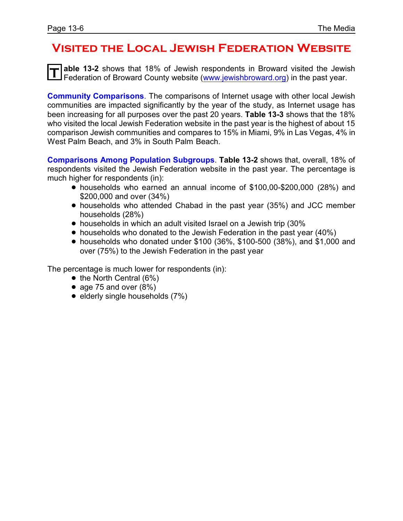#### **Visited the Local Jewish Federation Website**

**T able 13-2** shows that 18% of Jewish respondents in Broward visited the Jewish Federation of Broward County website [\(www.jewishbroward.org](http://www.jewishbroward.org)) in the past year.

**Community Comparisons**. The comparisons of Internet usage with other local Jewish communities are impacted significantly by the year of the study, as Internet usage has been increasing for all purposes over the past 20 years. **Table 13-3** shows that the 18% who visited the local Jewish Federation website in the past year is the highest of about 15 comparison Jewish communities and compares to 15% in Miami, 9% in Las Vegas, 4% in West Palm Beach, and 3% in South Palm Beach.

**Comparisons Among Population Subgroups**. **Table 13-2** shows that, overall, 18% of respondents visited the Jewish Federation website in the past year. The percentage is much higher for respondents (in):

- ! households who earned an annual income of \$100,00-\$200,000 (28%) and \$200,000 and over (34%)
- ! households who attended Chabad in the past year (35%) and JCC member households (28%)
- households in which an adult visited Israel on a Jewish trip (30%)
- households who donated to the Jewish Federation in the past year (40%)
- ! households who donated under \$100 (36%, \$100-500 (38%), and \$1,000 and over (75%) to the Jewish Federation in the past year

The percentage is much lower for respondents (in):

- $\bullet$  the North Central (6%)
- age 75 and over  $(8\%)$
- $\bullet$  elderly single households (7%)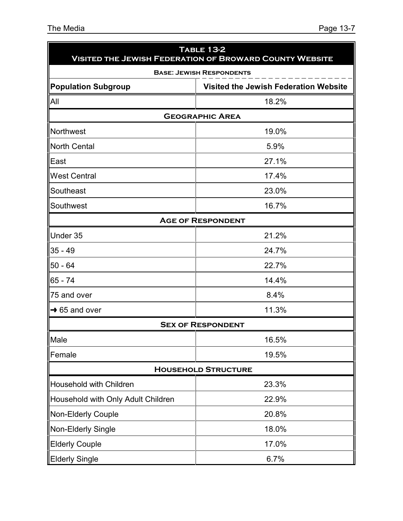| <b>TABLE 13-2</b><br><b>VISITED THE JEWISH FEDERATION OF BROWARD COUNTY WEBSITE</b> |                                              |  |  |  |
|-------------------------------------------------------------------------------------|----------------------------------------------|--|--|--|
|                                                                                     | <b>BASE: JEWISH RESPONDENTS</b>              |  |  |  |
| <b>Population Subgroup</b>                                                          | <b>Visited the Jewish Federation Website</b> |  |  |  |
| All                                                                                 | 18.2%                                        |  |  |  |
|                                                                                     | <b>GEOGRAPHIC AREA</b>                       |  |  |  |
| Northwest                                                                           | 19.0%                                        |  |  |  |
| <b>North Cental</b>                                                                 | 5.9%                                         |  |  |  |
| East                                                                                | 27.1%                                        |  |  |  |
| <b>West Central</b>                                                                 | 17.4%                                        |  |  |  |
| Southeast                                                                           | 23.0%                                        |  |  |  |
| Southwest                                                                           | 16.7%                                        |  |  |  |
|                                                                                     | <b>AGE OF RESPONDENT</b>                     |  |  |  |
| Under 35                                                                            | 21.2%                                        |  |  |  |
| $35 - 49$                                                                           | 24.7%                                        |  |  |  |
| $50 - 64$                                                                           | 22.7%                                        |  |  |  |
| $65 - 74$                                                                           | 14.4%                                        |  |  |  |
| 75 and over                                                                         | 8.4%                                         |  |  |  |
| $\rightarrow$ 65 and over                                                           | 11.3%                                        |  |  |  |
|                                                                                     | <b>SEX OF RESPONDENT</b>                     |  |  |  |
| Male                                                                                | 16.5%                                        |  |  |  |
| Female                                                                              | 19.5%                                        |  |  |  |
|                                                                                     | <b>HOUSEHOLD STRUCTURE</b>                   |  |  |  |
| Household with Children                                                             | 23.3%                                        |  |  |  |
| Household with Only Adult Children                                                  | 22.9%                                        |  |  |  |
| Non-Elderly Couple                                                                  | 20.8%                                        |  |  |  |
| Non-Elderly Single                                                                  | 18.0%                                        |  |  |  |
| <b>Elderly Couple</b>                                                               | 17.0%                                        |  |  |  |
| <b>Elderly Single</b>                                                               | 6.7%                                         |  |  |  |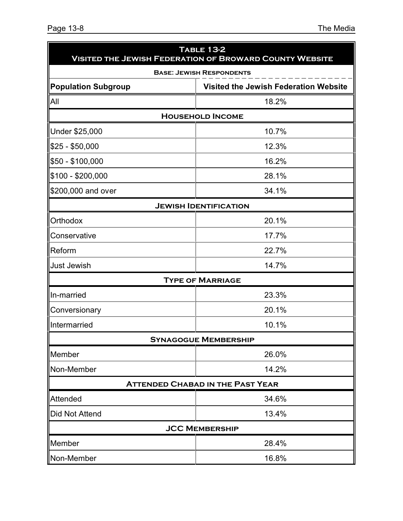| <b>TABLE 13-2</b><br><b>VISITED THE JEWISH FEDERATION OF BROWARD COUNTY WEBSITE</b> |                                              |  |  |  |  |
|-------------------------------------------------------------------------------------|----------------------------------------------|--|--|--|--|
| <b>BASE: JEWISH RESPONDENTS</b>                                                     |                                              |  |  |  |  |
| <b>Population Subgroup</b>                                                          | <b>Visited the Jewish Federation Website</b> |  |  |  |  |
| All                                                                                 | 18.2%                                        |  |  |  |  |
|                                                                                     | <b>HOUSEHOLD INCOME</b>                      |  |  |  |  |
| Under \$25,000                                                                      | 10.7%                                        |  |  |  |  |
| $$25 - $50,000$                                                                     | 12.3%                                        |  |  |  |  |
| \$50 - \$100,000                                                                    | 16.2%                                        |  |  |  |  |
| \$100 - \$200,000                                                                   | 28.1%                                        |  |  |  |  |
| \$200,000 and over                                                                  | 34.1%                                        |  |  |  |  |
|                                                                                     | <b>JEWISH IDENTIFICATION</b>                 |  |  |  |  |
| Orthodox                                                                            | 20.1%                                        |  |  |  |  |
| Conservative                                                                        | 17.7%                                        |  |  |  |  |
| Reform                                                                              | 22.7%                                        |  |  |  |  |
| <b>Just Jewish</b>                                                                  | 14.7%                                        |  |  |  |  |
|                                                                                     | <b>TYPE OF MARRIAGE</b>                      |  |  |  |  |
| In-married                                                                          | 23.3%                                        |  |  |  |  |
| Conversionary                                                                       | 20.1%                                        |  |  |  |  |
| Intermarried                                                                        | 10.1%                                        |  |  |  |  |
|                                                                                     | <b>SYNAGOGUE MEMBERSHIP</b>                  |  |  |  |  |
| Member                                                                              | 26.0%                                        |  |  |  |  |
| Non-Member                                                                          | 14.2%                                        |  |  |  |  |
|                                                                                     | <b>ATTENDED CHABAD IN THE PAST YEAR</b>      |  |  |  |  |
| Attended                                                                            | 34.6%                                        |  |  |  |  |
| Did Not Attend                                                                      | 13.4%                                        |  |  |  |  |
|                                                                                     | <b>JCC MEMBERSHIP</b>                        |  |  |  |  |
| Member                                                                              | 28.4%                                        |  |  |  |  |
| Non-Member                                                                          | 16.8%                                        |  |  |  |  |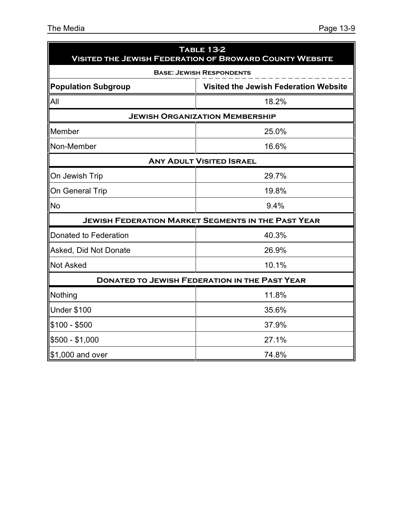| <b>TABLE 13-2</b><br><b>VISITED THE JEWISH FEDERATION OF BROWARD COUNTY WEBSITE</b> |                                                           |  |  |  |  |  |
|-------------------------------------------------------------------------------------|-----------------------------------------------------------|--|--|--|--|--|
|                                                                                     | <b>BASE: JEWISH RESPONDENTS</b>                           |  |  |  |  |  |
| <b>Population Subgroup</b>                                                          | Visited the Jewish Federation Website                     |  |  |  |  |  |
| All                                                                                 | 18.2%                                                     |  |  |  |  |  |
|                                                                                     | <b>JEWISH ORGANIZATION MEMBERSHIP</b>                     |  |  |  |  |  |
| Member                                                                              | 25.0%                                                     |  |  |  |  |  |
| Non-Member                                                                          | 16.6%                                                     |  |  |  |  |  |
|                                                                                     | <b>ANY ADULT VISITED ISRAEL</b>                           |  |  |  |  |  |
| On Jewish Trip                                                                      | 29.7%                                                     |  |  |  |  |  |
| On General Trip                                                                     | 19.8%                                                     |  |  |  |  |  |
| <b>No</b>                                                                           | 9.4%                                                      |  |  |  |  |  |
|                                                                                     | <b>JEWISH FEDERATION MARKET SEGMENTS IN THE PAST YEAR</b> |  |  |  |  |  |
| Donated to Federation                                                               | 40.3%                                                     |  |  |  |  |  |
| Asked, Did Not Donate                                                               | 26.9%                                                     |  |  |  |  |  |
| <b>Not Asked</b>                                                                    | 10.1%                                                     |  |  |  |  |  |
|                                                                                     | <b>DONATED TO JEWISH FEDERATION IN THE PAST YEAR</b>      |  |  |  |  |  |
| Nothing                                                                             | 11.8%                                                     |  |  |  |  |  |
| <b>Under \$100</b>                                                                  | 35.6%                                                     |  |  |  |  |  |
| $$100 - $500$                                                                       | 37.9%                                                     |  |  |  |  |  |
| $$500 - $1,000$                                                                     | 27.1%                                                     |  |  |  |  |  |
| \$1,000 and over                                                                    | 74.8%                                                     |  |  |  |  |  |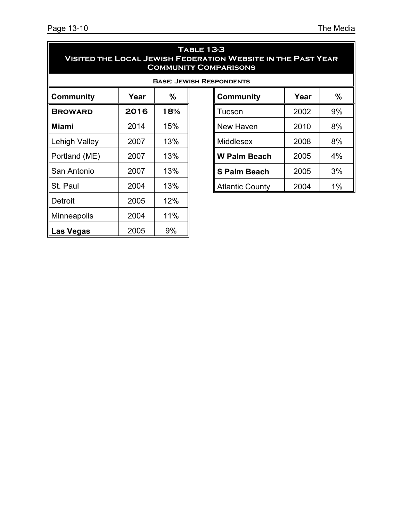| <b>TABLE 13-3</b><br><b>VISITED THE LOCAL JEWISH FEDERATION WEBSITE IN THE PAST YEAR</b><br><b>COMMUNITY COMPARISONS</b> |      |     |                        |      |       |  |  |
|--------------------------------------------------------------------------------------------------------------------------|------|-----|------------------------|------|-------|--|--|
| <b>BASE: JEWISH RESPONDENTS</b>                                                                                          |      |     |                        |      |       |  |  |
| <b>Community</b>                                                                                                         | Year | %   | <b>Community</b>       | Year | %     |  |  |
| <b>BROWARD</b>                                                                                                           | 2016 | 18% | Tucson                 | 2002 | 9%    |  |  |
| <b>Miami</b>                                                                                                             | 2014 | 15% | New Haven              | 2010 | 8%    |  |  |
| Lehigh Valley                                                                                                            | 2007 | 13% | Middlesex              | 2008 | 8%    |  |  |
| Portland (ME)                                                                                                            | 2007 | 13% | <b>W Palm Beach</b>    | 2005 | 4%    |  |  |
| San Antonio                                                                                                              | 2007 | 13% | <b>S Palm Beach</b>    | 2005 | 3%    |  |  |
| St. Paul                                                                                                                 | 2004 | 13% | <b>Atlantic County</b> | 2004 | $1\%$ |  |  |
| <b>Detroit</b>                                                                                                           | 2005 | 12% |                        |      |       |  |  |
| Minneapolis                                                                                                              | 2004 | 11% |                        |      |       |  |  |
| <b>Las Vegas</b>                                                                                                         | 2005 | 9%  |                        |      |       |  |  |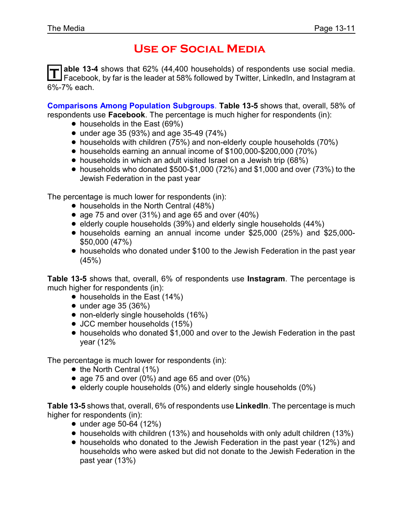### **Use of Social Media**

T able 13-4 shows that 62% (44,400 households) of respondents use social media.<br>T Facebook, by far is the leader at 58% followed by Twitter, LinkedIn, and Instagram at **able 13-4** shows that 62% (44,400 households) of respondents use social media. 6%-7% each.

**Comparisons Among Population Subgroups**. **Table 13-5** shows that, overall, 58% of respondents use **Facebook**. The percentage is much higher for respondents (in):

- households in the East (69%)
- $\bullet$  under age 35 (93%) and age 35-49 (74%)
- households with children (75%) and non-elderly couple households (70%)
- ! households earning an annual income of \$100,000-\$200,000 (70%)
- households in which an adult visited Israel on a Jewish trip (68%)
- $\bullet$  households who donated \$500-\$1,000 (72%) and \$1,000 and over (73%) to the Jewish Federation in the past year

The percentage is much lower for respondents (in):

- households in the North Central (48%)
- age 75 and over  $(31\%)$  and age 65 and over  $(40\%)$
- elderly couple households (39%) and elderly single households (44%)
- ! households earning an annual income under \$25,000 (25%) and \$25,000- \$50,000 (47%)
- households who donated under \$100 to the Jewish Federation in the past year (45%)

**Table 13-5** shows that, overall, 6% of respondents use **Instagram**. The percentage is much higher for respondents (in):

- households in the East (14%)
- $\bullet$  under age 35 (36%)
- non-elderly single households (16%)
- JCC member households (15%)
- ! households who donated \$1,000 and over to the Jewish Federation in the past year (12%

The percentage is much lower for respondents (in):

- $\bullet$  the North Central (1%)
- age 75 and over (0%) and age 65 and over (0%)
- $\bullet$  elderly couple households (0%) and elderly single households (0%)

**Table 13-5** shows that, overall, 6% of respondents use **LinkedIn**. The percentage is much higher for respondents (in):

- $\bullet$  under age 50-64 (12%)
- ! households with children (13%) and households with only adult children (13%)
- ! households who donated to the Jewish Federation in the past year (12%) and households who were asked but did not donate to the Jewish Federation in the past year (13%)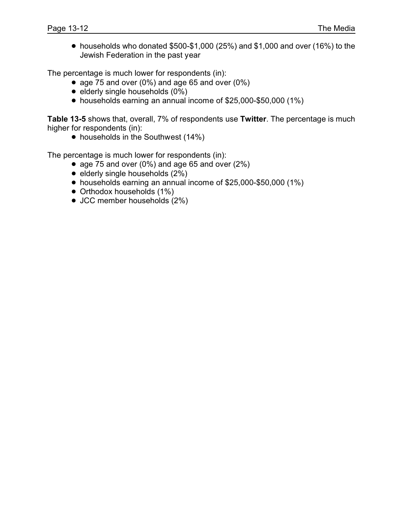$\bullet$  households who donated \$500-\$1,000 (25%) and \$1,000 and over (16%) to the Jewish Federation in the past year

The percentage is much lower for respondents (in):

- age 75 and over  $(0\%)$  and age 65 and over  $(0\%)$
- $\bullet$  elderly single households  $(0\%)$
- ! households earning an annual income of \$25,000-\$50,000 (1%)

**Table 13-5** shows that, overall, 7% of respondents use **Twitter**. The percentage is much higher for respondents (in):

• households in the Southwest (14%)

The percentage is much lower for respondents (in):

- age 75 and over (0%) and age 65 and over  $(2\%)$
- $\bullet$  elderly single households (2%)
- ! households earning an annual income of \$25,000-\$50,000 (1%)
- Orthodox households (1%)
- JCC member households (2%)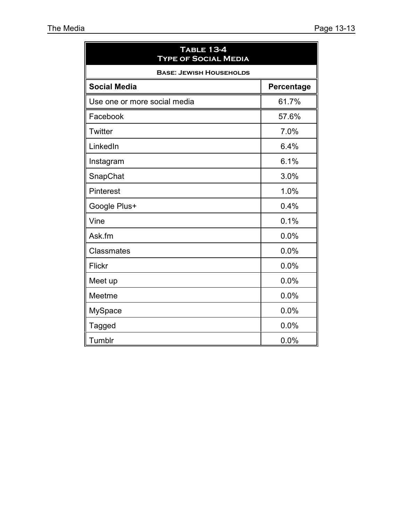| <b>TABLE 13-4</b><br><b>TYPE OF SOCIAL MEDIA</b> |            |
|--------------------------------------------------|------------|
| <b>BASE: JEWISH HOUSEHOLDS</b>                   |            |
| <b>Social Media</b>                              | Percentage |
| Use one or more social media                     | 61.7%      |
| Facebook                                         | 57.6%      |
| Twitter                                          | 7.0%       |
| LinkedIn                                         | 6.4%       |
| Instagram                                        | 6.1%       |
| SnapChat                                         | 3.0%       |
| Pinterest                                        | 1.0%       |
| Google Plus+                                     | 0.4%       |
| Vine                                             | 0.1%       |
| Ask.fm                                           | 0.0%       |
| Classmates                                       | 0.0%       |
| <b>Flickr</b>                                    | 0.0%       |
| Meet up                                          | 0.0%       |
| Meetme                                           | 0.0%       |
| <b>MySpace</b>                                   | 0.0%       |
| <b>Tagged</b>                                    | 0.0%       |
| Tumblr                                           | 0.0%       |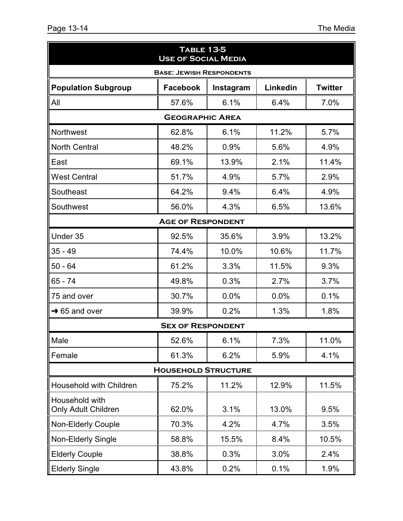| <b>TABLE 13-5</b><br><b>USE OF SOCIAL MEDIA</b> |                            |           |          |                |  |  |  |
|-------------------------------------------------|----------------------------|-----------|----------|----------------|--|--|--|
| <b>BASE: JEWISH RESPONDENTS</b>                 |                            |           |          |                |  |  |  |
| <b>Population Subgroup</b>                      | <b>Facebook</b>            | Instagram | Linkedin | <b>Twitter</b> |  |  |  |
| All                                             | 57.6%                      | 6.1%      | 6.4%     | 7.0%           |  |  |  |
|                                                 | <b>GEOGRAPHIC AREA</b>     |           |          |                |  |  |  |
| <b>Northwest</b>                                | 62.8%                      | 6.1%      | 11.2%    | 5.7%           |  |  |  |
| <b>North Central</b>                            | 48.2%                      | 0.9%      | 5.6%     | 4.9%           |  |  |  |
| East                                            | 69.1%                      | 13.9%     | 2.1%     | 11.4%          |  |  |  |
| <b>West Central</b>                             | 51.7%                      | 4.9%      | 5.7%     | 2.9%           |  |  |  |
| Southeast                                       | 64.2%                      | 9.4%      | 6.4%     | 4.9%           |  |  |  |
| Southwest                                       | 56.0%                      | 4.3%      | 6.5%     | 13.6%          |  |  |  |
|                                                 | <b>AGE OF RESPONDENT</b>   |           |          |                |  |  |  |
| Under 35                                        | 92.5%                      | 35.6%     | 3.9%     | 13.2%          |  |  |  |
| $35 - 49$                                       | 74.4%                      | 10.0%     | 10.6%    | 11.7%          |  |  |  |
| $50 - 64$                                       | 61.2%                      | 3.3%      | 11.5%    | 9.3%           |  |  |  |
| 65 - 74                                         | 49.8%                      | 0.3%      | 2.7%     | 3.7%           |  |  |  |
| 75 and over                                     | 30.7%                      | 0.0%      | 0.0%     | 0.1%           |  |  |  |
| $\rightarrow$ 65 and over                       | 39.9%                      | 0.2%      | 1.3%     | 1.8%           |  |  |  |
|                                                 | <b>SEX OF RESPONDENT</b>   |           |          |                |  |  |  |
| Male                                            | 52.6%                      | 6.1%      | 7.3%     | 11.0%          |  |  |  |
| Female                                          | 61.3%                      | 6.2%      | 5.9%     | 4.1%           |  |  |  |
|                                                 | <b>HOUSEHOLD STRUCTURE</b> |           |          |                |  |  |  |
| Household with Children                         | 75.2%                      | 11.2%     | 12.9%    | 11.5%          |  |  |  |
| Household with<br><b>Only Adult Children</b>    | 62.0%                      | 3.1%      | 13.0%    | 9.5%           |  |  |  |
| Non-Elderly Couple                              | 70.3%                      | 4.2%      | 4.7%     | 3.5%           |  |  |  |
| Non-Elderly Single                              | 58.8%                      | 15.5%     | 8.4%     | 10.5%          |  |  |  |
| <b>Elderly Couple</b>                           | 38.8%                      | 0.3%      | 3.0%     | 2.4%           |  |  |  |
| <b>Elderly Single</b>                           | 43.8%                      | 0.2%      | 0.1%     | 1.9%           |  |  |  |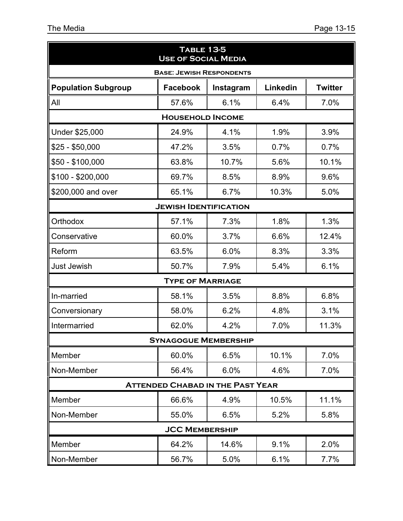| <b>TABLE 13-5</b><br><b>USE OF SOCIAL MEDIA</b> |                                 |                                         |          |                |
|-------------------------------------------------|---------------------------------|-----------------------------------------|----------|----------------|
|                                                 | <b>BASE: JEWISH RESPONDENTS</b> |                                         |          |                |
| <b>Population Subgroup</b>                      | <b>Facebook</b>                 | Instagram                               | Linkedin | <b>Twitter</b> |
| All                                             | 57.6%                           | 6.1%                                    | 6.4%     | 7.0%           |
|                                                 | <b>HOUSEHOLD INCOME</b>         |                                         |          |                |
| Under \$25,000                                  | 24.9%                           | 4.1%                                    | 1.9%     | 3.9%           |
| \$25 - \$50,000                                 | 47.2%                           | 3.5%                                    | 0.7%     | 0.7%           |
| $$50 - $100,000$                                | 63.8%                           | 10.7%                                   | 5.6%     | 10.1%          |
| $$100 - $200,000$                               | 69.7%                           | 8.5%                                    | 8.9%     | 9.6%           |
| \$200,000 and over                              | 65.1%                           | 6.7%                                    | 10.3%    | 5.0%           |
|                                                 | <b>JEWISH IDENTIFICATION</b>    |                                         |          |                |
| Orthodox                                        | 57.1%                           | 7.3%                                    | 1.8%     | 1.3%           |
| Conservative                                    | 60.0%                           | 3.7%                                    | 6.6%     | 12.4%          |
| Reform                                          | 63.5%                           | 6.0%                                    | 8.3%     | 3.3%           |
| <b>Just Jewish</b>                              | 50.7%                           | 7.9%                                    | 5.4%     | 6.1%           |
|                                                 | <b>TYPE OF MARRIAGE</b>         |                                         |          |                |
| In-married                                      | 58.1%                           | 3.5%                                    | 8.8%     | 6.8%           |
| Conversionary                                   | 58.0%                           | 6.2%                                    | 4.8%     | 3.1%           |
| Intermarried                                    | 62.0%                           | 4.2%                                    | 7.0%     | 11.3%          |
|                                                 | <b>SYNAGOGUE MEMBERSHIP</b>     |                                         |          |                |
| Member                                          | 60.0%                           | 6.5%                                    | 10.1%    | 7.0%           |
| Non-Member                                      | 56.4%                           | 6.0%                                    | 4.6%     | 7.0%           |
|                                                 |                                 | <b>ATTENDED CHABAD IN THE PAST YEAR</b> |          |                |
| Member                                          | 66.6%                           | 4.9%                                    | 10.5%    | 11.1%          |
| Non-Member                                      | 55.0%                           | 6.5%                                    | 5.2%     | 5.8%           |
|                                                 | <b>JCC MEMBERSHIP</b>           |                                         |          |                |
| Member                                          | 64.2%                           | 14.6%                                   | 9.1%     | 2.0%           |
| Non-Member                                      | 56.7%                           | 5.0%                                    | 6.1%     | 7.7%           |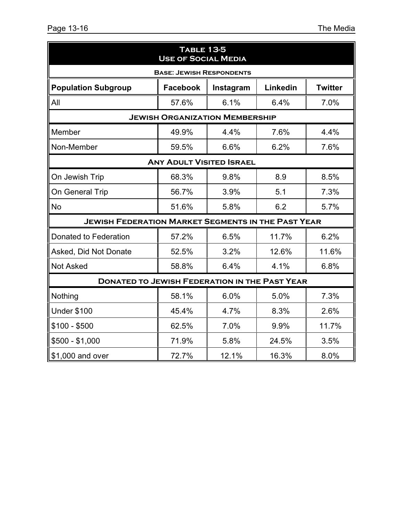| <b>TABLE 13-5</b><br><b>USE OF SOCIAL MEDIA</b>           |                                                            |                                       |       |       |  |  |  |  |
|-----------------------------------------------------------|------------------------------------------------------------|---------------------------------------|-------|-------|--|--|--|--|
| <b>BASE: JEWISH RESPONDENTS</b>                           |                                                            |                                       |       |       |  |  |  |  |
| <b>Population Subgroup</b>                                | <b>Facebook</b><br>Linkedin<br><b>Twitter</b><br>Instagram |                                       |       |       |  |  |  |  |
| All                                                       | 57.6%                                                      | 6.1%                                  | 6.4%  | 7.0%  |  |  |  |  |
|                                                           |                                                            | <b>JEWISH ORGANIZATION MEMBERSHIP</b> |       |       |  |  |  |  |
| Member                                                    | 49.9%                                                      | 4.4%                                  | 7.6%  | 4.4%  |  |  |  |  |
| Non-Member                                                | 59.5%                                                      | 6.6%                                  | 6.2%  | 7.6%  |  |  |  |  |
| <b>ANY ADULT VISITED ISRAEL</b>                           |                                                            |                                       |       |       |  |  |  |  |
| On Jewish Trip                                            | 68.3%                                                      | 9.8%                                  | 8.9   | 8.5%  |  |  |  |  |
| On General Trip                                           | 56.7%                                                      | 3.9%                                  | 5.1   | 7.3%  |  |  |  |  |
| No                                                        | 51.6%                                                      | 5.8%                                  | 6.2   | 5.7%  |  |  |  |  |
| <b>JEWISH FEDERATION MARKET SEGMENTS IN THE PAST YEAR</b> |                                                            |                                       |       |       |  |  |  |  |
| Donated to Federation                                     | 57.2%                                                      | 6.5%                                  | 11.7% | 6.2%  |  |  |  |  |
| Asked, Did Not Donate                                     | 52.5%                                                      | 3.2%                                  | 12.6% | 11.6% |  |  |  |  |
| <b>Not Asked</b>                                          | 58.8%                                                      | 6.4%                                  | 4.1%  | 6.8%  |  |  |  |  |
| <b>DONATED TO JEWISH FEDERATION IN THE PAST YEAR</b>      |                                                            |                                       |       |       |  |  |  |  |
| Nothing                                                   | 58.1%                                                      | 6.0%                                  | 5.0%  | 7.3%  |  |  |  |  |
| <b>Under \$100</b>                                        | 45.4%                                                      | 4.7%                                  | 8.3%  | 2.6%  |  |  |  |  |
| \$100 - \$500                                             | 62.5%                                                      | 7.0%                                  | 9.9%  | 11.7% |  |  |  |  |
| $$500 - $1,000$                                           | 71.9%                                                      | 5.8%                                  | 24.5% | 3.5%  |  |  |  |  |
| \$1,000 and over                                          | 72.7%                                                      | 12.1%                                 | 16.3% | 8.0%  |  |  |  |  |